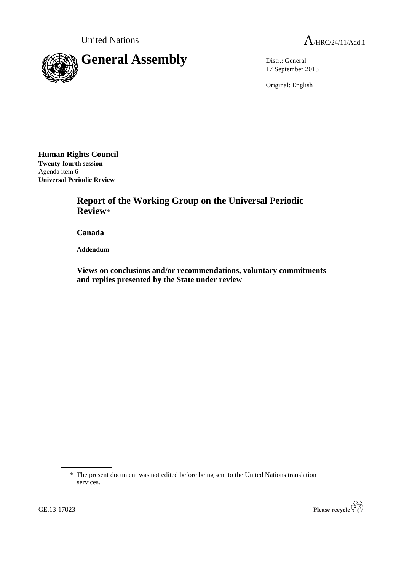

17 September 2013

Original: English

**Human Rights Council Twenty-fourth session** Agenda item 6 **Universal Periodic Review**

> **Report of the Working Group on the Universal Periodic Review**\*

**Canada**

**Addendum**

**Views on conclusions and/or recommendations, voluntary commitments and replies presented by the State under review**

\* The present document was not edited before being sent to the United Nations translation services.

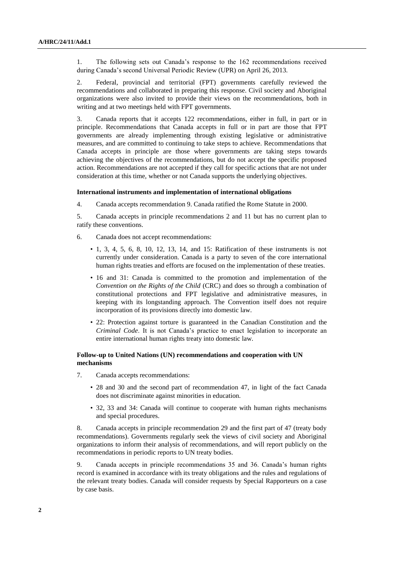1. The following sets out Canada's response to the 162 recommendations received during Canada's second Universal Periodic Review (UPR) on April 26, 2013.

2. Federal, provincial and territorial (FPT) governments carefully reviewed the recommendations and collaborated in preparing this response. Civil society and Aboriginal organizations were also invited to provide their views on the recommendations, both in writing and at two meetings held with FPT governments.

3. Canada reports that it accepts 122 recommendations, either in full, in part or in principle. Recommendations that Canada accepts in full or in part are those that FPT governments are already implementing through existing legislative or administrative measures, and are committed to continuing to take steps to achieve. Recommendations that Canada accepts in principle are those where governments are taking steps towards achieving the objectives of the recommendations, but do not accept the specific proposed action. Recommendations are not accepted if they call for specific actions that are not under consideration at this time, whether or not Canada supports the underlying objectives.

### **International instruments and implementation of international obligations**

4. Canada accepts recommendation 9. Canada ratified the Rome Statute in 2000.

5. Canada accepts in principle recommendations 2 and 11 but has no current plan to ratify these conventions.

- 6. Canada does not accept recommendations:
	- 1, 3, 4, 5, 6, 8, 10, 12, 13, 14, and 15: Ratification of these instruments is not currently under consideration. Canada is a party to seven of the core international human rights treaties and efforts are focused on the implementation of these treaties.
	- 16 and 31: Canada is committed to the promotion and implementation of the *Convention on the Rights of the Child* (CRC) and does so through a combination of constitutional protections and FPT legislative and administrative measures, in keeping with its longstanding approach. The Convention itself does not require incorporation of its provisions directly into domestic law.
	- 22: Protection against torture is guaranteed in the Canadian Constitution and the *Criminal Code*. It is not Canada's practice to enact legislation to incorporate an entire international human rights treaty into domestic law.

# **Follow-up to United Nations (UN) recommendations and cooperation with UN mechanisms**

- 7. Canada accepts recommendations:
	- 28 and 30 and the second part of recommendation 47, in light of the fact Canada does not discriminate against minorities in education.
	- 32, 33 and 34: Canada will continue to cooperate with human rights mechanisms and special procedures.

8. Canada accepts in principle recommendation 29 and the first part of 47 (treaty body recommendations). Governments regularly seek the views of civil society and Aboriginal organizations to inform their analysis of recommendations, and will report publicly on the recommendations in periodic reports to UN treaty bodies.

9. Canada accepts in principle recommendations 35 and 36. Canada's human rights record is examined in accordance with its treaty obligations and the rules and regulations of the relevant treaty bodies. Canada will consider requests by Special Rapporteurs on a case by case basis.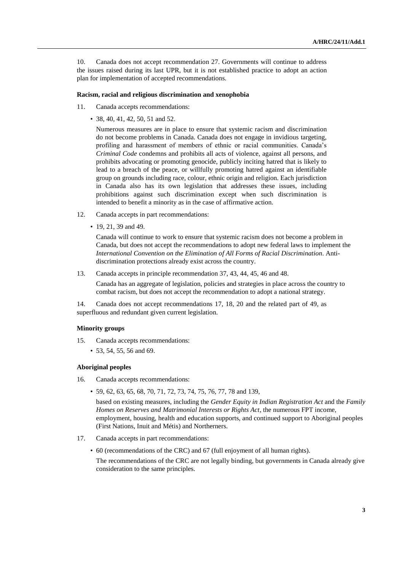10. Canada does not accept recommendation 27. Governments will continue to address the issues raised during its last UPR, but it is not established practice to adopt an action plan for implementation of accepted recommendations.

### **Racism, racial and religious discrimination and xenophobia**

- 11. Canada accepts recommendations:
	- 38, 40, 41, 42, 50, 51 and 52.

Numerous measures are in place to ensure that systemic racism and discrimination do not become problems in Canada. Canada does not engage in invidious targeting, profiling and harassment of members of ethnic or racial communities. Canada's *Criminal Code* condemns and prohibits all acts of violence, against all persons, and prohibits advocating or promoting genocide, publicly inciting hatred that is likely to lead to a breach of the peace, or willfully promoting hatred against an identifiable group on grounds including race, colour, ethnic origin and religion. Each jurisdiction in Canada also has its own legislation that addresses these issues, including prohibitions against such discrimination except when such discrimination is intended to benefit a minority as in the case of affirmative action.

- 12. Canada accepts in part recommendations:
	- 19, 21, 39 and 49.

Canada will continue to work to ensure that systemic racism does not become a problem in Canada, but does not accept the recommendations to adopt new federal laws to implement the *International Convention on the Elimination of All Forms of Racial Discrimination*. Antidiscrimination protections already exist across the country.

13. Canada accepts in principle recommendation 37, 43, 44, 45, 46 and 48.

Canada has an aggregate of legislation, policies and strategies in place across the country to combat racism, but does not accept the recommendation to adopt a national strategy.

14. Canada does not accept recommendations 17, 18, 20 and the related part of 49, as superfluous and redundant given current legislation.

## **Minority groups**

- 15. Canada accepts recommendations:
	- 53, 54, 55, 56 and 69.

# **Aboriginal peoples**

- 16. Canada accepts recommendations:
	- 59, 62, 63, 65, 68, 70, 71, 72, 73, 74, 75, 76, 77, 78 and 139,

based on existing measures, including the *Gender Equity in Indian Registration Act* and the *Family Homes on Reserves and Matrimonial Interests or Rights Act*, the numerous FPT income, employment, housing, health and education supports, and continued support to Aboriginal peoples (First Nations, Inuit and Métis) and Northerners.

- 17. Canada accepts in part recommendations:
	- 60 (recommendations of the CRC) and 67 (full enjoyment of all human rights).

The recommendations of the CRC are not legally binding, but governments in Canada already give consideration to the same principles.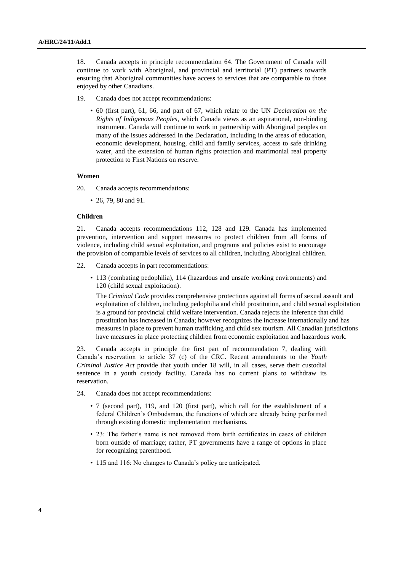18. Canada accepts in principle recommendation 64. The Government of Canada will continue to work with Aboriginal, and provincial and territorial (PT) partners towards ensuring that Aboriginal communities have access to services that are comparable to those enjoyed by other Canadians.

- 19. Canada does not accept recommendations:
	- 60 (first part), 61, 66, and part of 67, which relate to the UN *Declaration on the Rights of Indigenous Peoples*, which Canada views as an aspirational, non-binding instrument. Canada will continue to work in partnership with Aboriginal peoples on many of the issues addressed in the Declaration, including in the areas of education, economic development, housing, child and family services, access to safe drinking water, and the extension of human rights protection and matrimonial real property protection to First Nations on reserve.

# **Women**

- 20. Canada accepts recommendations:
	- 26, 79, 80 and 91.

# **Children**

21. Canada accepts recommendations 112, 128 and 129. Canada has implemented prevention, intervention and support measures to protect children from all forms of violence, including child sexual exploitation, and programs and policies exist to encourage the provision of comparable levels of services to all children, including Aboriginal children.

- 22. Canada accepts in part recommendations:
	- 113 (combating pedophilia), 114 (hazardous and unsafe working environments) and 120 (child sexual exploitation).

The *Criminal Code* provides comprehensive protections against all forms of sexual assault and exploitation of children, including pedophilia and child prostitution, and child sexual exploitation is a ground for provincial child welfare intervention. Canada rejects the inference that child prostitution has increased in Canada; however recognizes the increase internationally and has measures in place to prevent human trafficking and child sex tourism. All Canadian jurisdictions have measures in place protecting children from economic exploitation and hazardous work.

23. Canada accepts in principle the first part of recommendation 7, dealing with Canada's reservation to article 37 (c) of the CRC. Recent amendments to the *Youth Criminal Justice Act* provide that youth under 18 will, in all cases, serve their custodial sentence in a youth custody facility. Canada has no current plans to withdraw its reservation.

- 24. Canada does not accept recommendations:
	- 7 (second part), 119, and 120 (first part), which call for the establishment of a federal Children's Ombudsman, the functions of which are already being performed through existing domestic implementation mechanisms.
	- 23: The father's name is not removed from birth certificates in cases of children born outside of marriage; rather, PT governments have a range of options in place for recognizing parenthood.
	- 115 and 116: No changes to Canada's policy are anticipated.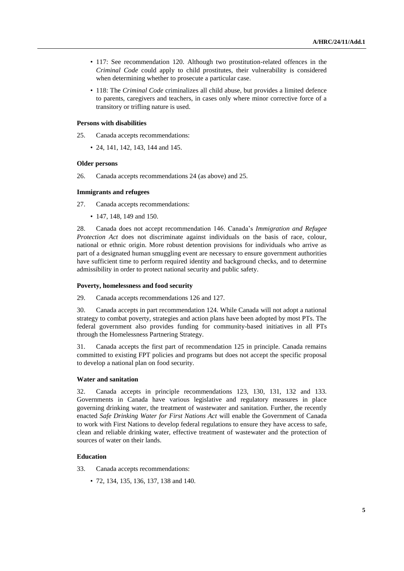- 117: See recommendation 120. Although two prostitution-related offences in the *Criminal Code* could apply to child prostitutes, their vulnerability is considered when determining whether to prosecute a particular case.
- 118: The *Criminal Code* criminalizes all child abuse, but provides a limited defence to parents, caregivers and teachers, in cases only where minor corrective force of a transitory or trifling nature is used.

# **Persons with disabilities**

25. Canada accepts recommendations:

• 24, 141, 142, 143, 144 and 145.

## **Older persons**

26. Canada accepts recommendations 24 (as above) and 25.

# **Immigrants and refugees**

27. Canada accepts recommendations:

• 147, 148, 149 and 150.

28. Canada does not accept recommendation 146. Canada's *Immigration and Refugee Protection Act* does not discriminate against individuals on the basis of race, colour, national or ethnic origin. More robust detention provisions for individuals who arrive as part of a designated human smuggling event are necessary to ensure government authorities have sufficient time to perform required identity and background checks, and to determine admissibility in order to protect national security and public safety.

# **Poverty, homelessness and food security**

29. Canada accepts recommendations 126 and 127.

30. Canada accepts in part recommendation 124. While Canada will not adopt a national strategy to combat poverty, strategies and action plans have been adopted by most PTs. The federal government also provides funding for community-based initiatives in all PTs through the Homelessness Partnering Strategy.

31. Canada accepts the first part of recommendation 125 in principle. Canada remains committed to existing FPT policies and programs but does not accept the specific proposal to develop a national plan on food security.

## **Water and sanitation**

32. Canada accepts in principle recommendations 123, 130, 131, 132 and 133. Governments in Canada have various legislative and regulatory measures in place governing drinking water, the treatment of wastewater and sanitation. Further, the recently enacted *Safe Drinking Water for First Nations Act* will enable the Government of Canada to work with First Nations to develop federal regulations to ensure they have access to safe, clean and reliable drinking water, effective treatment of wastewater and the protection of sources of water on their lands.

# **Education**

- 33. Canada accepts recommendations:
	- 72, 134, 135, 136, 137, 138 and 140.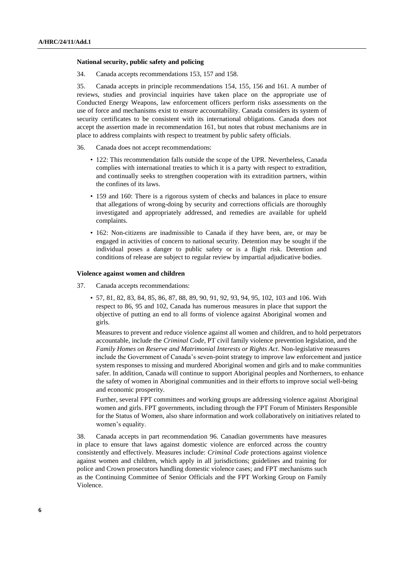### **National security, public safety and policing**

34. Canada accepts recommendations 153, 157 and 158.

35. Canada accepts in principle recommendations 154, 155, 156 and 161. A number of reviews, studies and provincial inquiries have taken place on the appropriate use of Conducted Energy Weapons, law enforcement officers perform risks assessments on the use of force and mechanisms exist to ensure accountability. Canada considers its system of security certificates to be consistent with its international obligations. Canada does not accept the assertion made in recommendation 161, but notes that robust mechanisms are in place to address complaints with respect to treatment by public safety officials.

### 36. Canada does not accept recommendations:

- 122: This recommendation falls outside the scope of the UPR. Nevertheless, Canada complies with international treaties to which it is a party with respect to extradition, and continually seeks to strengthen cooperation with its extradition partners, within the confines of its laws.
- 159 and 160: There is a rigorous system of checks and balances in place to ensure that allegations of wrong-doing by security and corrections officials are thoroughly investigated and appropriately addressed, and remedies are available for upheld complaints.
- 162: Non-citizens are inadmissible to Canada if they have been, are, or may be engaged in activities of concern to national security. Detention may be sought if the individual poses a danger to public safety or is a flight risk. Detention and conditions of release are subject to regular review by impartial adjudicative bodies.

### **Violence against women and children**

- 37. Canada accepts recommendations:
	- 57, 81, 82, 83, 84, 85, 86, 87, 88, 89, 90, 91, 92, 93, 94, 95, 102, 103 and 106. With respect to 86, 95 and 102, Canada has numerous measures in place that support the objective of putting an end to all forms of violence against Aboriginal women and girls.

Measures to prevent and reduce violence against all women and children, and to hold perpetrators accountable, include the *Criminal Code,* PT civil family violence prevention legislation, and the *Family Homes on Reserve and Matrimonial Interests or Rights Act*. Non-legislative measures include the Government of Canada's seven-point strategy to improve law enforcement and justice system responses to missing and murdered Aboriginal women and girls and to make communities safer. In addition, Canada will continue to support Aboriginal peoples and Northerners, to enhance the safety of women in Aboriginal communities and in their efforts to improve social well-being and economic prosperity.

Further, several FPT committees and working groups are addressing violence against Aboriginal women and girls. FPT governments, including through the FPT Forum of Ministers Responsible for the Status of Women, also share information and work collaboratively on initiatives related to women's equality.

38. Canada accepts in part recommendation 96. Canadian governments have measures in place to ensure that laws against domestic violence are enforced across the country consistently and effectively. Measures include: *Criminal Code* protections against violence against women and children, which apply in all jurisdictions; guidelines and training for police and Crown prosecutors handling domestic violence cases; and FPT mechanisms such as the Continuing Committee of Senior Officials and the FPT Working Group on Family Violence.